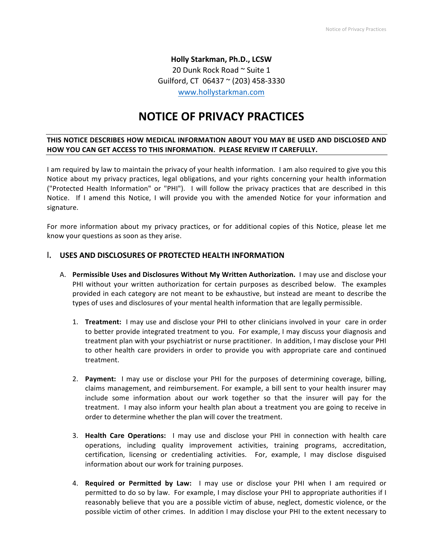**Holly Starkman, Ph.D., LCSW** 20 Dunk Rock Road ~ Suite 1 Guilford, CT 06437  $\sim$  (203) 458-3330 www.hollystarkman.com

# **NOTICE OF PRIVACY PRACTICES**

# THIS NOTICE DESCRIBES HOW MEDICAL INFORMATION ABOUT YOU MAY BE USED AND DISCLOSED AND **HOW YOU CAN GET ACCESS TO THIS INFORMATION. PLEASE REVIEW IT CAREFULLY.**

I am required by law to maintain the privacy of your health information. I am also required to give you this Notice about my privacy practices, legal obligations, and your rights concerning your health information ("Protected Health Information" or "PHI"). I will follow the privacy practices that are described in this Notice. If I amend this Notice, I will provide you with the amended Notice for your information and signature. 

For more information about my privacy practices, or for additional copies of this Notice, please let me know your questions as soon as they arise.

# **I. USES AND DISCLOSURES OF PROTECTED HEALTH INFORMATION**

- A. Permissible Uses and Disclosures Without My Written Authorization. I may use and disclose your PHI without your written authorization for certain purposes as described below. The examples provided in each category are not meant to be exhaustive, but instead are meant to describe the types of uses and disclosures of your mental health information that are legally permissible.
	- 1. **Treatment:** I may use and disclose your PHI to other clinicians involved in your care in order to better provide integrated treatment to you. For example, I may discuss your diagnosis and treatment plan with your psychiatrist or nurse practitioner. In addition, I may disclose your PHI to other health care providers in order to provide you with appropriate care and continued treatment.
	- 2. **Payment:** I may use or disclose your PHI for the purposes of determining coverage, billing, claims management, and reimbursement. For example, a bill sent to your health insurer may include some information about our work together so that the insurer will pay for the treatment. I may also inform your health plan about a treatment you are going to receive in order to determine whether the plan will cover the treatment.
	- **3. Health Care Operations:** I may use and disclose your PHI in connection with health care operations, including quality improvement activities, training programs, accreditation, certification, licensing or credentialing activities. For, example, I may disclose disguised information about our work for training purposes.
	- 4. **Required or Permitted by Law:** I may use or disclose your PHI when I am required or permitted to do so by law. For example, I may disclose your PHI to appropriate authorities if I reasonably believe that you are a possible victim of abuse, neglect, domestic violence, or the possible victim of other crimes. In addition I may disclose your PHI to the extent necessary to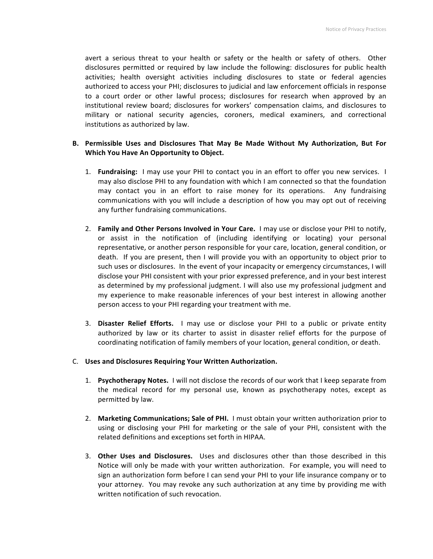avert a serious threat to your health or safety or the health or safety of others. Other disclosures permitted or required by law include the following: disclosures for public health activities; health oversight activities including disclosures to state or federal agencies authorized to access your PHI; disclosures to judicial and law enforcement officials in response to a court order or other lawful process; disclosures for research when approved by an institutional review board; disclosures for workers' compensation claims, and disclosures to military or national security agencies, coroners, medical examiners, and correctional institutions as authorized by law.

## B. Permissible Uses and Disclosures That May Be Made Without My Authorization, But For **Which You Have An Opportunity to Object.**

- 1. **Fundraising:** I may use your PHI to contact you in an effort to offer you new services. I may also disclose PHI to any foundation with which I am connected so that the foundation may contact you in an effort to raise money for its operations. Any fundraising communications with you will include a description of how you may opt out of receiving any further fundraising communications.
- 2. **Family and Other Persons Involved in Your Care.** I may use or disclose your PHI to notify, or assist in the notification of (including identifying or locating) your personal representative, or another person responsible for your care, location, general condition, or death. If you are present, then I will provide you with an opportunity to object prior to such uses or disclosures. In the event of your incapacity or emergency circumstances, I will disclose your PHI consistent with your prior expressed preference, and in your best interest as determined by my professional judgment. I will also use my professional judgment and my experience to make reasonable inferences of your best interest in allowing another person access to your PHI regarding your treatment with me.
- 3. **Disaster Relief Efforts.** I may use or disclose your PHI to a public or private entity authorized by law or its charter to assist in disaster relief efforts for the purpose of coordinating notification of family members of your location, general condition, or death.

## C. Uses and Disclosures Requiring Your Written Authorization.

- 1. **Psychotherapy Notes.** I will not disclose the records of our work that I keep separate from the medical record for my personal use, known as psychotherapy notes, except as permitted by law.
- 2. Marketing Communications; Sale of PHI. I must obtain your written authorization prior to using or disclosing your PHI for marketing or the sale of your PHI, consistent with the related definitions and exceptions set forth in HIPAA.
- 3. Other Uses and Disclosures. Uses and disclosures other than those described in this Notice will only be made with your written authorization. For example, you will need to sign an authorization form before I can send your PHI to your life insurance company or to your attorney. You may revoke any such authorization at any time by providing me with written notification of such revocation.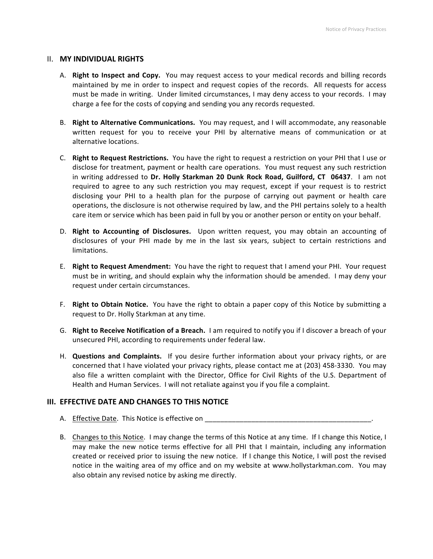### **II. MY INDIVIDUAL RIGHTS**

- A. **Right to Inspect and Copy.** You may request access to your medical records and billing records maintained by me in order to inspect and request copies of the records. All requests for access must be made in writing. Under limited circumstances, I may deny access to your records. I may charge a fee for the costs of copying and sending you any records requested.
- B. **Right to Alternative Communications.** You may request, and I will accommodate, any reasonable written request for you to receive your PHI by alternative means of communication or at alternative locations.
- C. **Right to Request Restrictions.** You have the right to request a restriction on your PHI that I use or disclose for treatment, payment or health care operations. You must request any such restriction in writing addressed to Dr. Holly Starkman 20 Dunk Rock Road, Guilford, CT 06437. I am not required to agree to any such restriction you may request, except if your request is to restrict disclosing your PHI to a health plan for the purpose of carrying out payment or health care operations, the disclosure is not otherwise required by law, and the PHI pertains solely to a health care item or service which has been paid in full by you or another person or entity on your behalf.
- D. **Right to Accounting of Disclosures.** Upon written request, you may obtain an accounting of disclosures of your PHI made by me in the last six years, subject to certain restrictions and limitations.
- E. **Right to Request Amendment:** You have the right to request that I amend your PHI. Your request must be in writing, and should explain why the information should be amended. I may deny your request under certain circumstances.
- F. **Right to Obtain Notice.** You have the right to obtain a paper copy of this Notice by submitting a request to Dr. Holly Starkman at any time.
- G. **Right to Receive Notification of a Breach.** I am required to notify you if I discover a breach of your unsecured PHI, according to requirements under federal law.
- H. **Questions and Complaints.** If you desire further information about your privacy rights, or are concerned that I have violated your privacy rights, please contact me at (203) 458-3330. You may also file a written complaint with the Director, Office for Civil Rights of the U.S. Department of Health and Human Services. I will not retaliate against you if you file a complaint.

## **III. EFFECTIVE DATE AND CHANGES TO THIS NOTICE**

- A. Effective Date. This Notice is effective on \_\_\_\_\_\_\_\_\_\_\_\_\_\_\_\_\_\_\_\_\_\_\_\_\_\_\_\_\_\_\_\_\_
- B. Changes to this Notice. I may change the terms of this Notice at any time. If I change this Notice, I may make the new notice terms effective for all PHI that I maintain, including any information created or received prior to issuing the new notice. If I change this Notice, I will post the revised notice in the waiting area of my office and on my website at www.hollystarkman.com. You may also obtain any revised notice by asking me directly.